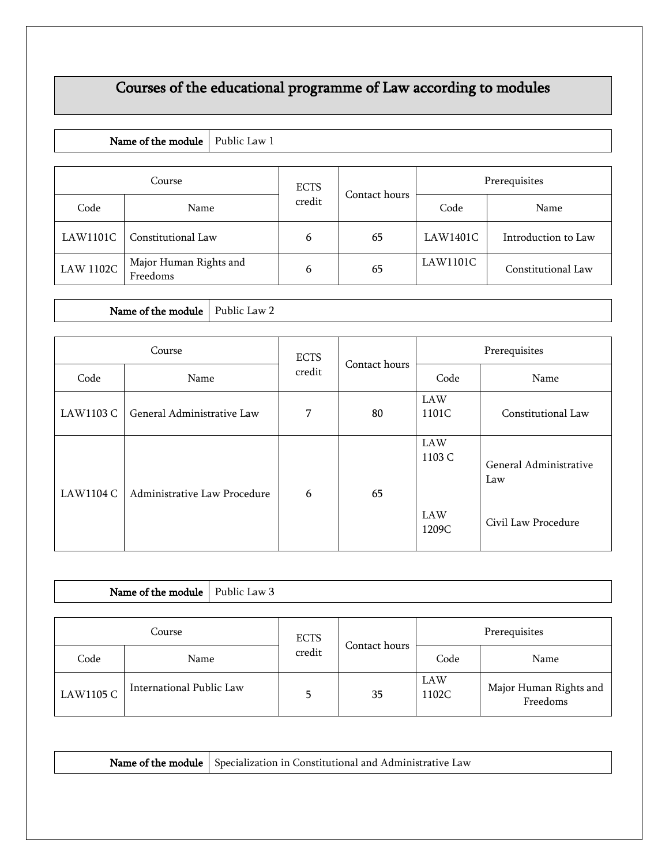# Courses of the educational programme of Law according to modules

#### Name of the module  $\vert$  Public Law 1

| Course           |                                    | <b>ECTS</b> | Contact hours | Prerequisites |                     |
|------------------|------------------------------------|-------------|---------------|---------------|---------------------|
| Code             | Name                               | credit      |               | Code          | Name                |
| LAW1101C         | Constitutional Law                 | 6           | 65            | LAW1401C      | Introduction to Law |
| <b>LAW 1102C</b> | Major Human Rights and<br>Freedoms | 6           | 65            | LAW1101C      | Constitutional Law  |

Name of the module  $\vert$  Public Law 2

| Course    |                              | <b>ECTS</b> | Contact hours | Prerequisites                          |                                                      |
|-----------|------------------------------|-------------|---------------|----------------------------------------|------------------------------------------------------|
| Code      | Name                         | credit      |               | Code                                   | Name                                                 |
| LAW1103 C | General Administrative Law   | 7           | 80            | LAW<br>1101C                           | Constitutional Law                                   |
| LAW1104 C | Administrative Law Procedure | 6           | 65            | LAW<br>1103 $C$<br><b>LAW</b><br>1209C | General Administrative<br>Law<br>Civil Law Procedure |

|           | Name of the module   Public Law 3 |  |             |               |               |                                    |
|-----------|-----------------------------------|--|-------------|---------------|---------------|------------------------------------|
| Course    |                                   |  | <b>ECTS</b> |               | Prerequisites |                                    |
| Code      | Name                              |  | credit      | Contact hours | Code          | Name                               |
| LAW1105 C | International Public Law          |  | 5           | 35            | LAW<br>1102C  | Major Human Rights and<br>Freedoms |

| Nam.<br>. Specialization in a<br>`onstitutional<br>…∟Adm¤n<br>and<br>Law<br>the module:<br>: OF |
|-------------------------------------------------------------------------------------------------|
|-------------------------------------------------------------------------------------------------|

Freedoms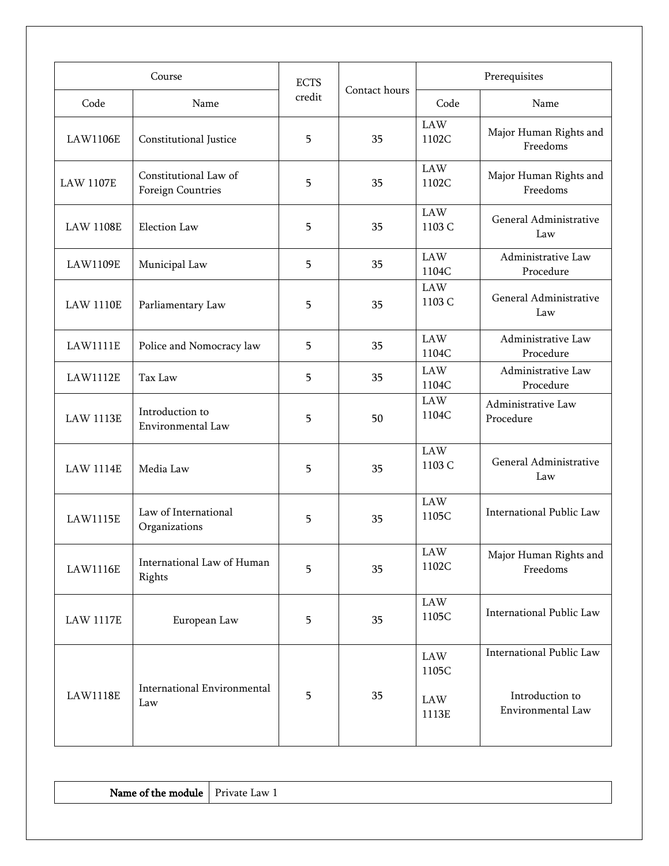| Course           |                                            | <b>ECTS</b> |               | Prerequisites                            |                                                                  |  |
|------------------|--------------------------------------------|-------------|---------------|------------------------------------------|------------------------------------------------------------------|--|
| Code             | Name                                       | credit      | Contact hours | Code                                     | Name                                                             |  |
| <b>LAW1106E</b>  | Constitutional Justice                     | 5           | 35            | $\rm LAW$<br>1102C                       | Major Human Rights and<br>Freedoms                               |  |
| <b>LAW 1107E</b> | Constitutional Law of<br>Foreign Countries | 5           | 35            | <b>LAW</b><br>1102C                      | Major Human Rights and<br>Freedoms                               |  |
| <b>LAW 1108E</b> | Election Law                               | 5           | 35            | <b>LAW</b><br>1103 C                     | General Administrative<br>Law                                    |  |
| <b>LAW1109E</b>  | Municipal Law                              | 5           | 35            | <b>LAW</b><br>1104C                      | Administrative Law<br>Procedure                                  |  |
| <b>LAW 1110E</b> | Parliamentary Law                          | 5           | 35            | $\rm LAW$<br>1103 C                      | General Administrative<br>Law                                    |  |
| <b>LAW1111E</b>  | Police and Nomocracy law                   | 5           | 35            | <b>LAW</b><br>1104C                      | Administrative Law<br>Procedure                                  |  |
| <b>LAW1112E</b>  | Tax Law                                    | 5           | 35            | <b>LAW</b><br>1104C                      | Administrative Law<br>Procedure                                  |  |
| <b>LAW 1113E</b> | Introduction to<br>Environmental Law       | 5           | 50            | <b>LAW</b><br>1104C                      | Administrative Law<br>Procedure                                  |  |
| <b>LAW 1114E</b> | Media Law                                  | 5           | 35            | <b>LAW</b><br>1103 C                     | General Administrative<br>Law                                    |  |
| <b>LAW1115E</b>  | Law of International<br>Organizations      | 5           | 35            | <b>LAW</b><br>1105C                      | International Public Law                                         |  |
| <b>LAW1116E</b>  | International Law of Human<br>Rights       | 5           | 35            | <b>LAW</b><br>1102C                      | Major Human Rights and<br>Freedoms                               |  |
| <b>LAW 1117E</b> | European Law                               | 5           | 35            | $\rm LAW$<br>1105C                       | International Public Law                                         |  |
| <b>LAW1118E</b>  | <b>International Environmental</b><br>Law  | 5           | 35            | $\rm LAW$<br>1105C<br>$\rm LAW$<br>1113E | International Public Law<br>Introduction to<br>Environmental Law |  |

Name of the module  $\vert$  Private Law 1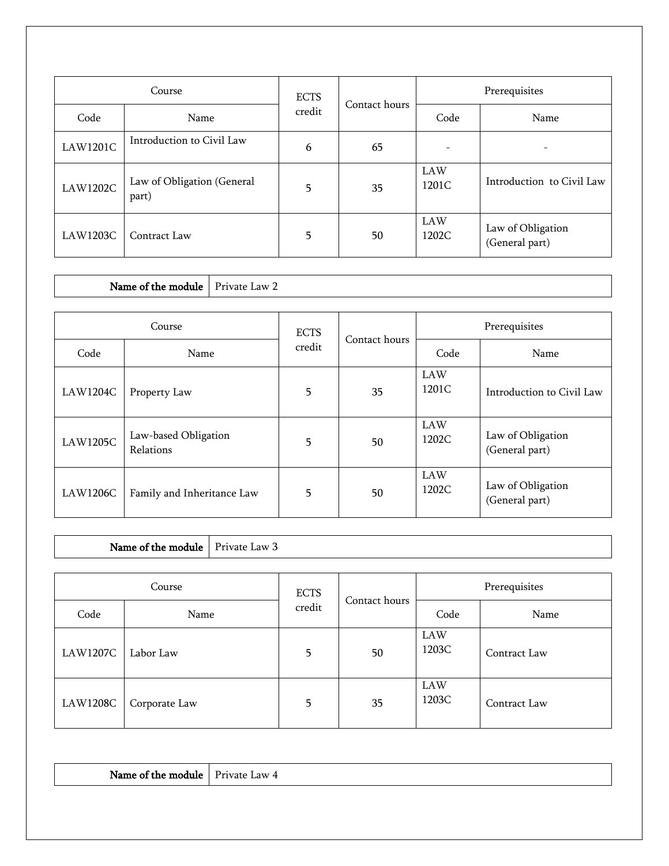| Course          |                                     | <b>ECTS</b> | Contact hours | Prerequisites            |                                     |  |
|-----------------|-------------------------------------|-------------|---------------|--------------------------|-------------------------------------|--|
| Code            | Name                                | credit      |               | Code                     | Name                                |  |
| <b>LAW1201C</b> | Introduction to Civil Law           | 6           | 65            | $\overline{\phantom{a}}$ | $\qquad \qquad$                     |  |
| <b>LAW1202C</b> | Law of Obligation (General<br>part) | 5           | 35            | <b>LAW</b><br>1201C      | Introduction to Civil Law           |  |
| <b>LAW1203C</b> | Contract Law                        | 5           | 50            | <b>LAW</b><br>1202C      | Law of Obligation<br>(General part) |  |

Name of the module  $\vert$  Private Law 2

| Course          |                                   | <b>ECTS</b> | Contact hours | Prerequisites       |                                     |
|-----------------|-----------------------------------|-------------|---------------|---------------------|-------------------------------------|
| Code            | Name                              | credit      |               | Code                | Name                                |
| <b>LAW1204C</b> | Property Law                      | 5           | 35            | LAW<br>1201C        | Introduction to Civil Law           |
| <b>LAW1205C</b> | Law-based Obligation<br>Relations | 5           | 50            | <b>LAW</b><br>1202C | Law of Obligation<br>(General part) |
| <b>LAW1206C</b> | Family and Inheritance Law        | 5           | 50            | <b>LAW</b><br>1202C | Law of Obligation<br>(General part) |

Name of the module  $\vert$  Private Law 3

| Course          |               | <b>ECTS</b> | Contact hours | Prerequisites       |              |
|-----------------|---------------|-------------|---------------|---------------------|--------------|
| Code            | Name          | credit      |               | Code                | Name         |
| <b>LAW1207C</b> | Labor Law     | 5           | 50            | LAW<br>1203C        | Contract Law |
| <b>LAW1208C</b> | Corporate Law | 5           | 35            | <b>LAW</b><br>1203C | Contract Law |

| Name<br>тпе<br>m<br>$\cdots$<br><br>. | .<br>ιw<br>ан<br>.<br>the contract of the contract of the contract of |
|---------------------------------------|-----------------------------------------------------------------------|
|---------------------------------------|-----------------------------------------------------------------------|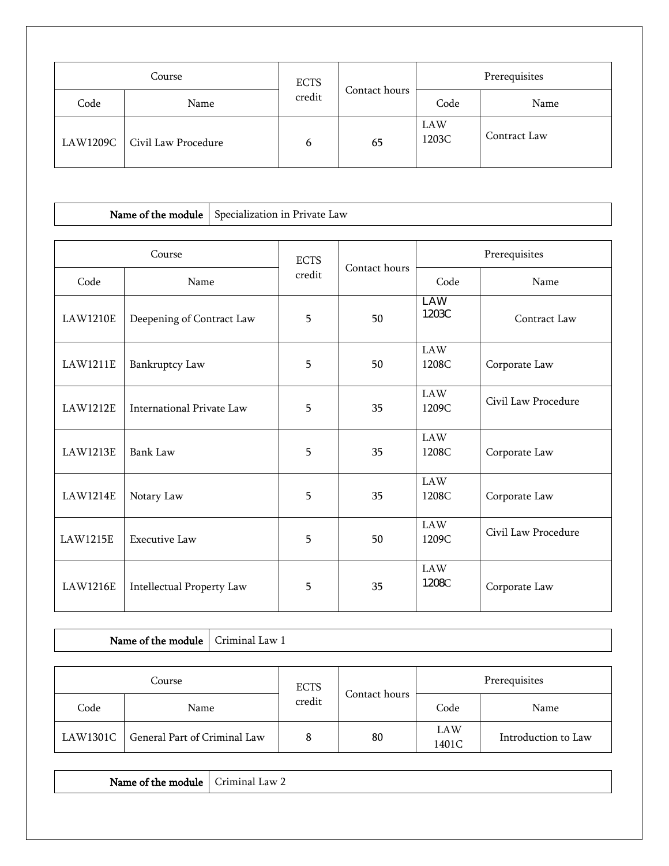| Course   |                     | <b>ECTS</b> |               | Prerequisites |              |
|----------|---------------------|-------------|---------------|---------------|--------------|
| Code     | Name                | credit      | Contact hours | Code          | Name         |
| LAW1209C | Civil Law Procedure | 6           | 65            | LAW<br>1203C  | Contract Law |

#### Name of the module  $\vert$  Specialization in Private Law

| Course          |                           | <b>ECTS</b> | Contact hours | Prerequisites       |                     |  |
|-----------------|---------------------------|-------------|---------------|---------------------|---------------------|--|
| Code            | Name                      | credit      |               | Code                | Name                |  |
| <b>LAW1210E</b> | Deepening of Contract Law | 5           | 50            | <b>LAW</b><br>1203C | Contract Law        |  |
| <b>LAW1211E</b> | Bankruptcy Law            | 5           | 50            | <b>LAW</b><br>1208C | Corporate Law       |  |
| <b>LAW1212E</b> | International Private Law | 5           | 35            | <b>LAW</b><br>1209C | Civil Law Procedure |  |
| <b>LAW1213E</b> | Bank Law                  | 5           | 35            | <b>LAW</b><br>1208C | Corporate Law       |  |
| LAW1214E        | Notary Law                | 5           | 35            | <b>LAW</b><br>1208C | Corporate Law       |  |
| <b>LAW1215E</b> | <b>Executive Law</b>      | 5           | 50            | <b>LAW</b><br>1209C | Civil Law Procedure |  |
| <b>LAW1216E</b> | Intellectual Property Law | 5           | 35            | <b>LAW</b><br>1208C | Corporate Law       |  |

### Name of the module Criminal Law 1

| Course   |                              | <b>ECTS</b> |               | Prerequisites |                     |
|----------|------------------------------|-------------|---------------|---------------|---------------------|
| Code     | Name                         | credit      | Contact hours | Code          | Name                |
| LAW1301C | General Part of Criminal Law |             | 80            | LAW<br>1401C  | Introduction to Law |

Name of the module  $\vert$  Criminal Law 2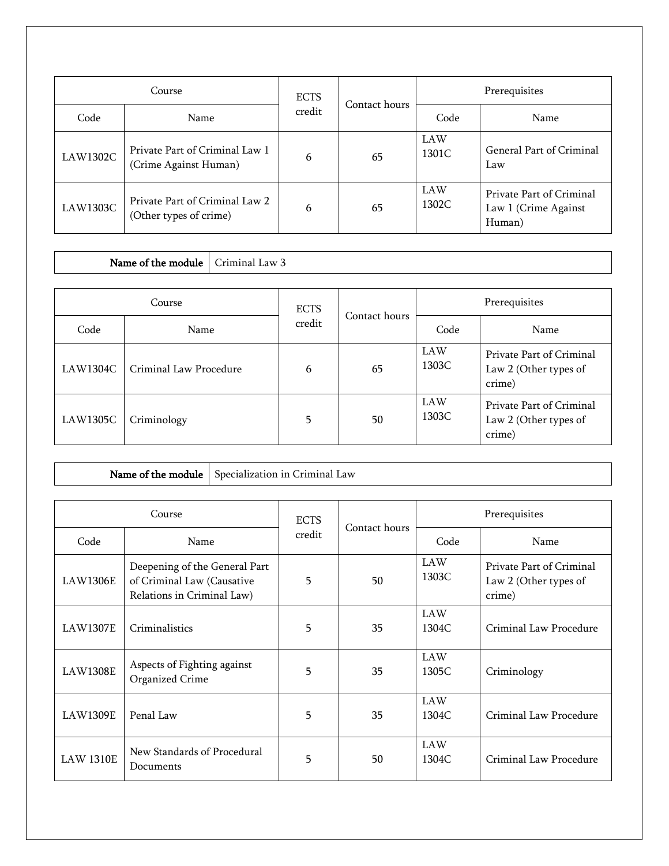| Course          |                                                          | <b>ECTS</b> | Contact hours | Prerequisites       |                                                            |
|-----------------|----------------------------------------------------------|-------------|---------------|---------------------|------------------------------------------------------------|
| Code            | Name                                                     | credit      |               | Code                | Name                                                       |
| LAW1302C        | Private Part of Criminal Law 1<br>(Crime Against Human)  | 6           | 65            | <b>LAW</b><br>1301C | General Part of Criminal<br>Law                            |
| <b>LAW1303C</b> | Private Part of Criminal Law 2<br>(Other types of crime) | 6           | 65            | <b>LAW</b><br>1302C | Private Part of Criminal<br>Law 1 (Crime Against<br>Human) |

## Name of the module  $\vert$  Criminal Law 3

| Course          |                        | <b>ECTS</b> | Contact hours | Prerequisites |                                                             |
|-----------------|------------------------|-------------|---------------|---------------|-------------------------------------------------------------|
| Code            | Name                   | credit      |               | Code          | Name                                                        |
| <b>LAW1304C</b> | Criminal Law Procedure | 6           | 65            | LAW<br>1303C  | Private Part of Criminal<br>Law 2 (Other types of<br>crime) |
| <b>LAW1305C</b> | Criminology            | 5           | 50            | LAW<br>1303C  | Private Part of Criminal<br>Law 2 (Other types of<br>crime) |

Name of the module  $\vert$  Specialization in Criminal Law

| Course           |                                                                                           | <b>ECTS</b> |               | Prerequisites       |                                                             |  |
|------------------|-------------------------------------------------------------------------------------------|-------------|---------------|---------------------|-------------------------------------------------------------|--|
| Code             | Name                                                                                      | credit      | Contact hours | Code                | Name                                                        |  |
| <b>LAW1306E</b>  | Deepening of the General Part<br>of Criminal Law (Causative<br>Relations in Criminal Law) | 5           | 50            | <b>LAW</b><br>1303C | Private Part of Criminal<br>Law 2 (Other types of<br>crime) |  |
| <b>LAW1307E</b>  | Criminalistics                                                                            | 5           | 35            | <b>LAW</b><br>1304C | Criminal Law Procedure                                      |  |
| <b>LAW1308E</b>  | Aspects of Fighting against<br>Organized Crime                                            | 5           | 35            | <b>LAW</b><br>1305C | Criminology                                                 |  |
| <b>LAW1309E</b>  | Penal Law                                                                                 | 5           | 35            | <b>LAW</b><br>1304C | Criminal Law Procedure                                      |  |
| <b>LAW 1310E</b> | New Standards of Procedural<br>Documents                                                  | 5           | 50            | <b>LAW</b><br>1304C | Criminal Law Procedure                                      |  |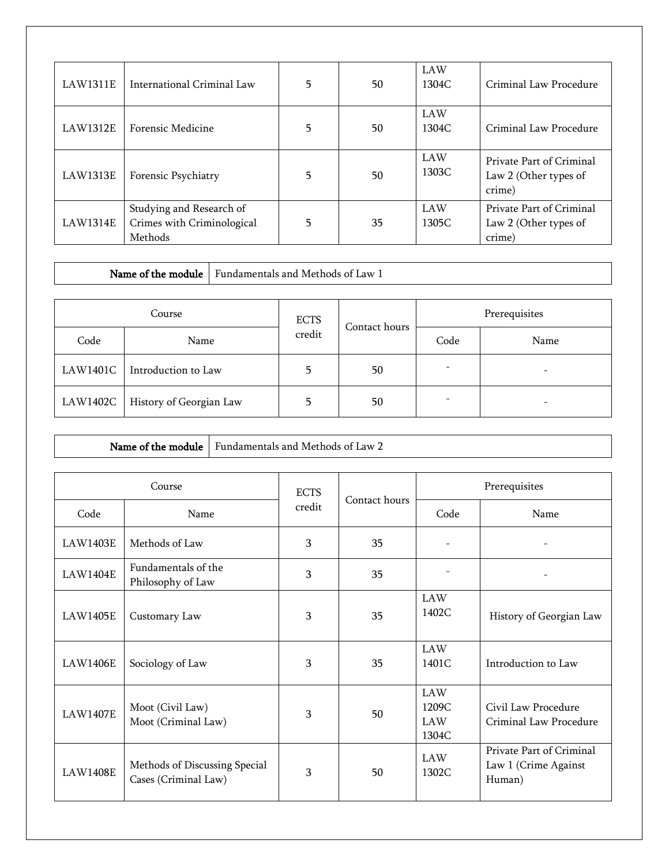| LAW1311E | International Criminal Law                                        | 5 | 50 | <b>LAW</b><br>1304C | Criminal Law Procedure                                      |
|----------|-------------------------------------------------------------------|---|----|---------------------|-------------------------------------------------------------|
| LAW1312E | Forensic Medicine                                                 | 5 | 50 | <b>LAW</b><br>1304C | Criminal Law Procedure                                      |
| LAW1313E | Forensic Psychiatry                                               | 5 | 50 | <b>LAW</b><br>1303C | Private Part of Criminal<br>Law 2 (Other types of<br>crime) |
| LAW1314E | Studying and Research of<br>Crimes with Criminological<br>Methods | 5 | 35 | <b>LAW</b><br>1305C | Private Part of Criminal<br>Law 2 (Other types of<br>crime) |

Name of the module Fundamentals and Methods of Law 1

| Course   |                         | <b>ECTS</b> | Contact hours | Prerequisites            |      |
|----------|-------------------------|-------------|---------------|--------------------------|------|
| Code     | Name                    | credit      |               | Code                     | Name |
| LAW1401C | Introduction to Law     |             | 50            | $\overline{\phantom{a}}$ |      |
| LAW1402C | History of Georgian Law |             | 50            | ۰                        |      |

|                 | Name of the module                                    | Fundamentals and Methods of Law 2 |                       |               |                                            |                                                            |
|-----------------|-------------------------------------------------------|-----------------------------------|-----------------------|---------------|--------------------------------------------|------------------------------------------------------------|
|                 | Course                                                |                                   |                       |               |                                            | Prerequisites                                              |
|                 |                                                       |                                   | <b>ECTS</b><br>credit | Contact hours |                                            |                                                            |
| Code            | Name                                                  |                                   |                       |               | Code                                       | Name                                                       |
| <b>LAW1403E</b> | Methods of Law                                        |                                   | 3                     | 35            |                                            |                                                            |
| <b>LAW1404E</b> | Fundamentals of the<br>Philosophy of Law              |                                   | 3                     | 35            |                                            |                                                            |
| <b>LAW1405E</b> | Customary Law                                         |                                   | 3                     | 35            | <b>LAW</b><br>1402C                        | History of Georgian Law                                    |
| <b>LAW1406E</b> | Sociology of Law                                      |                                   | 3                     | 35            | <b>LAW</b><br>1401C                        | Introduction to Law                                        |
| <b>LAW1407E</b> | Moot (Civil Law)<br>Moot (Criminal Law)               |                                   | 3                     | 50            | <b>LAW</b><br>1209C<br><b>LAW</b><br>1304C | Civil Law Procedure<br>Criminal Law Procedure              |
| <b>LAW1408E</b> | Methods of Discussing Special<br>Cases (Criminal Law) |                                   | $\overline{3}$        | 50            | LAW<br>1302C                               | Private Part of Criminal<br>Law 1 (Crime Against<br>Human) |